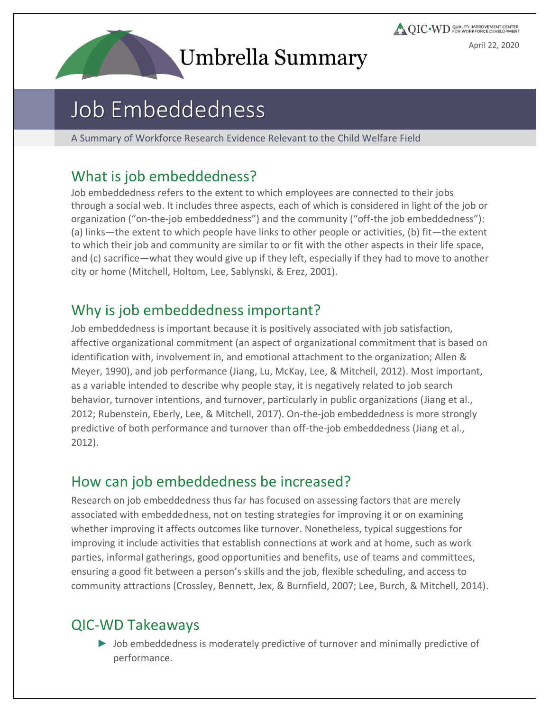# Umbrella Summary

**QIC** WD COALITY IMPROVEMENT CENTER April 22, 2020

## Job Embeddedness

A Summary of Workforce Research Evidence Relevant to the Child Welfare Field

#### What is job embeddedness?

Job embeddedness refers to the extent to which employees are connected to their jobs through a social web. It includes three aspects, each of which is considered in light of the job or organization ("on-the-job embeddedness") and the community ("off-the job embeddedness"): (a) links—the extent to which people have links to other people or activities, (b) fit—the extent to which their job and community are similar to or fit with the other aspects in their life space, and (c) sacrifice—what they would give up if they left, especially if they had to move to another city or home (Mitchell, Holtom, Lee, Sablynski, & Erez, 2001).

## Why is job embeddedness important?

Job embeddedness is important because it is positively associated with job satisfaction, affective organizational commitment (an aspect of organizational commitment that is based on identification with, involvement in, and emotional attachment to the organization; Allen & Meyer, 1990), and job performance (Jiang, Lu, McKay, Lee, & Mitchell, 2012). Most important, as a variable intended to describe why people stay, it is negatively related to job search behavior, turnover intentions, and turnover, particularly in public organizations (Jiang et al., 2012; Rubenstein, Eberly, Lee, & Mitchell, 2017). On-the-job embeddedness is more strongly predictive of both performance and turnover than off-the-job embeddedness (Jiang et al., 2012).

### How can job embeddedness be increased?

Research on job embeddedness thus far has focused on assessing factors that are merely associated with embeddedness, not on testing strategies for improving it or on examining whether improving it affects outcomes like turnover. Nonetheless, typical suggestions for improving it include activities that establish connections at work and at home, such as work parties, informal gatherings, good opportunities and benefits, use of teams and committees, ensuring a good fit between a person's skills and the job, flexible scheduling, and access to community attractions (Crossley, Bennett, Jex, & Burnfield, 2007; Lee, Burch, & Mitchell, 2014).

## QIC-WD Takeaways

► Job embeddedness is moderately predictive of turnover and minimally predictive of performance.